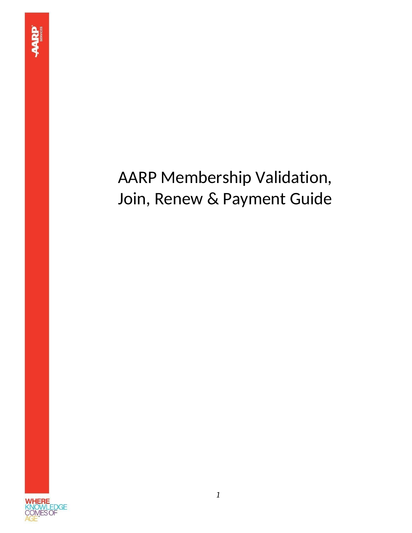# AARP Membership Validation, Join, Renew & Payment Guide

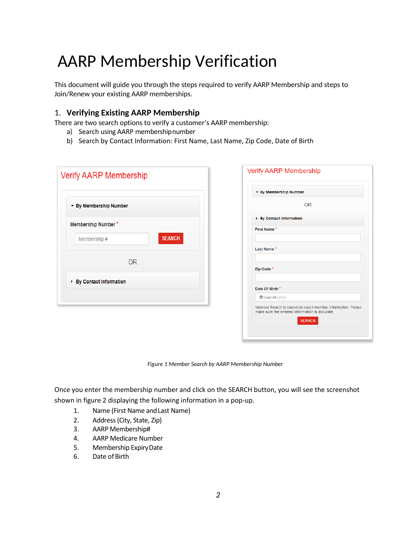# AARP Membership Verification

This document will guide you through the steps required to verify AARP Membership and steps to Join/Renew your existing AARP memberships.

### 1. **Verifying Existing AARP Membership**

There are two search options to verify a customer's AARP membership:

- a) Search using AARP membershipnumber
- b) Search by Contact Information: First Name, Last Name, Zip Code, Date of Birth

| <b>Verify AARP Membership</b> | <b>Verify AARP Membership</b>                                                                                |
|-------------------------------|--------------------------------------------------------------------------------------------------------------|
|                               | ▼ By Membership Number                                                                                       |
| ▼ By Membership Number        | <b>OR</b>                                                                                                    |
|                               | ▶ By Contact Information                                                                                     |
| Membership Number*            | First Name*                                                                                                  |
| <b>SEARCH</b><br>Membership # | Last Name*                                                                                                   |
| <b>OR</b>                     | Zip Code <sup>*</sup>                                                                                        |
| ▶ By Contact Information      | Date Of Birth <sup>*</sup>                                                                                   |
|                               | ttm/dd/yyyy)                                                                                                 |
|                               | Member Search is based on exact member information. Please<br>make sure the entered information is accurate. |
|                               | <b>SEARCH</b>                                                                                                |

*Figure 1 Member Search by AARP Membership Number*

Once you enter the membership number and click on the SEARCH button, you will see the screenshot shown in figure 2 displaying the following information in a pop-up.

- 1. Name (First Name andLast Name)
- 2. Address (City, State, Zip)
- 3. AARP Membership#
- 4. AARP Medicare Number
- 5. Membership ExpiryDate
- 6. Date of Birth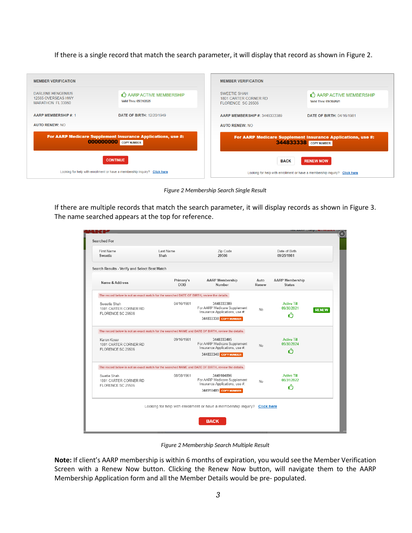If there is a single record that match the search parameter, it will display that record as shown in Figure 2.

| <b>MEMBER VERIFICATION</b>                                   |                                                                                             | <b>MEMBER VERIFICATION</b>                                                                                     |
|--------------------------------------------------------------|---------------------------------------------------------------------------------------------|----------------------------------------------------------------------------------------------------------------|
| DARLENE HENGENIUS<br>12565 OVERSEAS HWY<br>MARATHON FL 33050 | AARP ACTIVE MEMBERSHIP<br>Valid Thru: 05/31/2025                                            | SWEETIE SHAH<br>AARP ACTIVE MEMBERSHIP<br>1801 CARTER CORNER RD<br>Valid Thru: 09/30/2021<br>FLORENCE SC 29506 |
| <b>AARP MEMBERSHIP#: 1</b>                                   | <b>DATE OF BIRTH: 12/20/1949</b>                                                            | AARP MEMBERSHIP #: 3448333389<br><b>DATE OF BIRTH: 04/16/1981</b>                                              |
| <b>AUTO RENEW: NO</b>                                        |                                                                                             | <b>AUTO RENEW: NO</b>                                                                                          |
|                                                              | For AARP Medicare Supplement Insurance Applications, use #:<br><b>000000000</b> COPY NUMBER | For AARP Medicare Supplement Insurance Applications, use #:<br>344833338 COPY NUMBER                           |
|                                                              | <b>CONTINUE</b>                                                                             | <b>RENEW NOW</b><br><b>BACK</b>                                                                                |
|                                                              | Looking for help with enrollment or have a membership inquiry? Click here                   | Looking for help with enrollment or have a membership inquiry? Click here                                      |

*Figure 2 Membership Search Single Result*

If there are multiple records that match the search parameter, it will display records as shown in Figure 3. The name searched appears at the top for reference.

| First Name<br>Sweetie                                                                               | Last Name<br>Shah       | Zip Code<br>29506                                                                                     |               | Date of Birth<br>09/25/1981             |              |
|-----------------------------------------------------------------------------------------------------|-------------------------|-------------------------------------------------------------------------------------------------------|---------------|-----------------------------------------|--------------|
| Search Results - Verify and Select Best Match                                                       |                         |                                                                                                       |               |                                         |              |
| Name & Address                                                                                      | Primary's<br><b>DOB</b> | <b>AARP Membership</b><br>Number                                                                      | Auto<br>Renew | <b>AARP Membership</b><br><b>Status</b> |              |
| The record below is not an exact match for the searched DATE OF BIRTH, review the details.          |                         |                                                                                                       |               |                                         |              |
| Sweetie Shah<br>1801 CARTER CORNER RD<br>FLORENCE SC 29506                                          | 04/16/1981              | 3448333389<br>For AARP Medicare Supplement<br>Insurance Applications, use #:<br>344833338 COPY NUMBER | <b>No</b>     | <b>Active Till</b><br>09/30/2021<br>ረን  | <b>RENEW</b> |
| The record below is not an exact match for the searched NAME and DATE OF BIRTH, review the details. |                         |                                                                                                       |               |                                         |              |
| Karen Koser<br>1801 CARTER CORNER RD<br>FLORENCE SC 29506                                           | 09/16/1981              | 3448333405<br>For AARP Medicare Supplement<br>Insurance Applications, use #:<br>344833340 COPY NUMBER | <b>No</b>     | <b>Active Till</b><br>09/30/2024<br>ረን  |              |
| The record below is not an exact match for the searched NAME and DATE OF BIRTH, review the details. |                         |                                                                                                       |               |                                         |              |
| Swetie Shah<br>1801 CARTER CORNER RD<br>FLORENCE SC 29506                                           | 08/08/1961              | 3449104896<br>For AARP Medicare Supplement<br>Insurance Applications, use #:<br>344910489 COPY NUMBER | No            | <b>Active Till</b><br>08/31/2022<br>ረጎ  |              |
|                                                                                                     |                         | Looking for help with enrollment or have a membership inquiry? Click here                             |               |                                         |              |

*Figure 2 Membership Search Multiple Result*

**Note:** If client's AARP membership is within 6 months of expiration, you would see the Member Verification Screen with a Renew Now button. Clicking the Renew Now button, will navigate them to the AARP Membership Application form and all the Member Details would be pre- populated.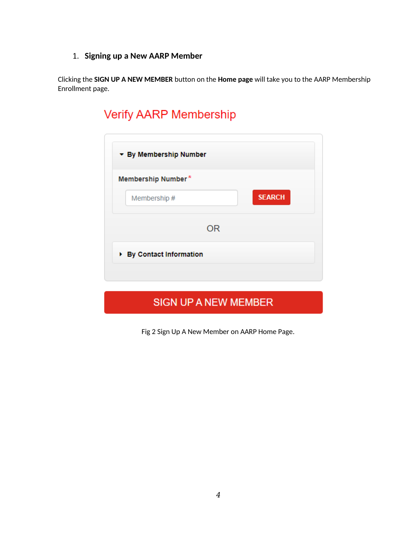### 1. **Signing up a New AARP Member**

Clicking the **SIGN UP A NEW MEMBER** button on the **Home page** will take you to the AARP Membership Enrollment page.

# Verify AARP Membership

| Membership Number* |    |               |
|--------------------|----|---------------|
| Membership #       |    | <b>SEARCH</b> |
|                    | OR |               |
|                    |    |               |

## **SIGN UP A NEW MEMBER**

Fig 2 Sign Up A New Member on AARP Home Page.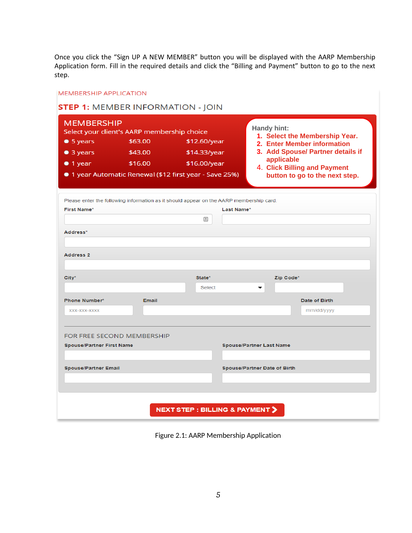Once you click the "Sign UP A NEW MEMBER" button you will be displayed with the AARP Membership Application form. Fill in the required details and click the "Billing and Payment" button to go to the next step.

| <b>MEMBERSHIP</b><br>$\bullet$ 5 years<br>$\bullet$ 3 years<br>$\bullet$ 1 year | Select your client's AARP membership choice<br>\$63.00<br>\$43.00<br>\$16.00 | \$12.60/year<br>\$14.33/year<br>\$16.00/year<br>● 1 year Automatic Renewal (\$12 first year - Save 25%)<br>Please enter the following information as it should appear on the AARP membership card. | Handy hint:<br>1. Select the Membership Year.<br>2. Enter Member information<br>3. Add Spouse/ Partner details if<br>applicable<br>4. Click Billing and Payment<br>button to go to the next step. |
|---------------------------------------------------------------------------------|------------------------------------------------------------------------------|----------------------------------------------------------------------------------------------------------------------------------------------------------------------------------------------------|---------------------------------------------------------------------------------------------------------------------------------------------------------------------------------------------------|
| <b>First Name*</b>                                                              |                                                                              | Last Name*                                                                                                                                                                                         |                                                                                                                                                                                                   |
|                                                                                 |                                                                              | 国                                                                                                                                                                                                  |                                                                                                                                                                                                   |
| Address*<br><b>Address 2</b>                                                    |                                                                              |                                                                                                                                                                                                    |                                                                                                                                                                                                   |
| City*                                                                           |                                                                              | State*<br>Select                                                                                                                                                                                   | Zip Code*<br>▼                                                                                                                                                                                    |
| <b>Phone Number*</b>                                                            | Email                                                                        |                                                                                                                                                                                                    | Date of Birth                                                                                                                                                                                     |
| XXX-XXX-XXXX                                                                    |                                                                              |                                                                                                                                                                                                    | mm/dd/yyyy                                                                                                                                                                                        |
| <b>Spouse/Partner First Name</b>                                                | FOR FREE SECOND MEMBERSHIP                                                   |                                                                                                                                                                                                    | <b>Spouse/Partner Last Name</b>                                                                                                                                                                   |
| <b>Spouse/Partner Email</b>                                                     |                                                                              |                                                                                                                                                                                                    | <b>Spouse/Partner Date of Birth</b>                                                                                                                                                               |
|                                                                                 |                                                                              | <b>NEXT STEP : BILLING &amp; PAYMENT &gt;</b>                                                                                                                                                      |                                                                                                                                                                                                   |

Figure 2.1: AARP Membership Application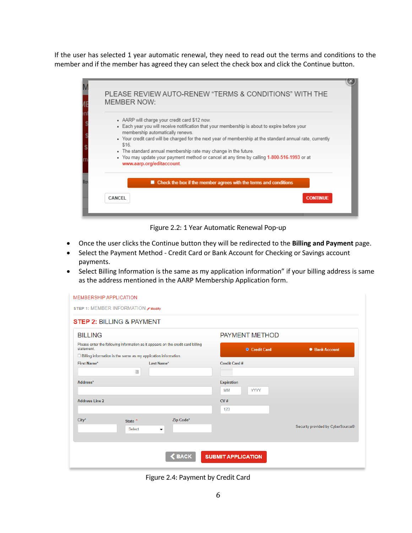If the user has selected 1 year automatic renewal, they need to read out the terms and conditions to the member and if the member has agreed they can select the check box and click the Continue button.

| MEMBER NOW:               | PLEASE REVIEW AUTO-RENEW "TERMS & CONDITIONS" WITH THE                                                                                                                             |                 |
|---------------------------|------------------------------------------------------------------------------------------------------------------------------------------------------------------------------------|-----------------|
|                           | • AARP will charge your credit card \$12 now.<br>• Each year you will receive notification that your membership is about to expire before your<br>membership automatically renews. |                 |
| \$16                      | . Your credit card will be charged for the next year of membership at the standard annual rate, currently                                                                          |                 |
| www.aarp.org/editaccount. | . The standard annual membership rate may change in the future.<br>• You may update your payment method or cancel at any time by calling 1-800-516-1993 or at                      |                 |
| ш                         | Check the box if the member agrees with the terms and conditions                                                                                                                   |                 |
| <b>CANCEL</b>             |                                                                                                                                                                                    | <b>CONTINUE</b> |
|                           |                                                                                                                                                                                    |                 |

Figure 2.2: 1 Year Automatic Renewal Pop-up

- Once the user clicks the Continue button they will be redirected to the **Billing and Payment** page.
- Select the Payment Method Credit Card or Bank Account for Checking or Savings account payments.
- Select Billing Information is the same as my application information" if your billing address is same as the address mentioned in the AARP Membership Application form.

| <b>BILLING</b>                                                                                                                                                         |                   | <b>PAYMENT METHOD</b>                 |                                               |                                   |
|------------------------------------------------------------------------------------------------------------------------------------------------------------------------|-------------------|---------------------------------------|-----------------------------------------------|-----------------------------------|
| Please enter the following information as it appears on the credit card billing<br>statement.<br>$\Box$ Billing information is the same as my application information. |                   |                                       | <b>O</b> Credit Card                          | <b>Bank Account</b>               |
| First Name*                                                                                                                                                            | $\boxed{\pm}$     | Last Name*                            | <b>Credit Card#</b>                           |                                   |
| Address*                                                                                                                                                               |                   |                                       | <b>Expiration</b><br><b>YYYY</b><br><b>MM</b> |                                   |
| <b>Address Line 2</b>                                                                                                                                                  |                   |                                       | CV#<br>123                                    |                                   |
| $City*$                                                                                                                                                                | State *<br>Select | Zip Code*<br>$\overline{\phantom{a}}$ |                                               | Security provided by CyberSource® |

Figure 2.4: Payment by Credit Card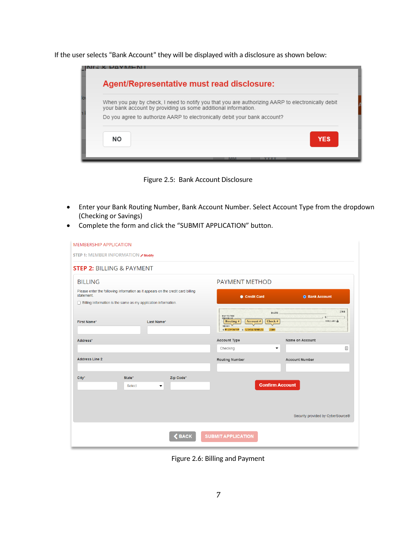If the user selects "Bank Account" they will be displayed with a disclosure as shown below:

|           | Agent/Representative must read disclosure:                                                                                                                          |
|-----------|---------------------------------------------------------------------------------------------------------------------------------------------------------------------|
|           | When you pay by check, I need to notify you that you are authorizing AARP to electronically debit<br>your bank account by providing us some additional information. |
|           | Do you agree to authorize AARP to electronically debit your bank account?                                                                                           |
| <b>NO</b> | <b>YES</b>                                                                                                                                                          |
|           |                                                                                                                                                                     |



- Enter your Bank Routing Number, Bank Account Number. Select Account Type from the dropdown (Checking or Savings)
- Complete the form and click the "SUBMIT APPLICATION" button.

| <b>MEMBERSHIP APPLICATION</b>                                                                 |                                |           |                                                                                                                  |                                                                                   |
|-----------------------------------------------------------------------------------------------|--------------------------------|-----------|------------------------------------------------------------------------------------------------------------------|-----------------------------------------------------------------------------------|
| STEP 1: MEMBER INFORMATION Ø Modify                                                           |                                |           |                                                                                                                  |                                                                                   |
| <b>STEP 2: BILLING &amp; PAYMENT</b>                                                          |                                |           |                                                                                                                  |                                                                                   |
| <b>BILLING</b>                                                                                |                                |           | <b>PAYMENT METHOD</b>                                                                                            |                                                                                   |
| Please enter the following information as it appears on the credit card billing<br>statement. |                                |           | Credit Card                                                                                                      | <b>O</b> Bank Account                                                             |
| $\Box$ Billing information is the same as my application information.                         |                                |           |                                                                                                                  |                                                                                   |
| <b>First Name*</b>                                                                            | Last Name*                     |           | PAY TO THE<br><b>ORDER OF</b><br>Account#<br>$\frac{1}{2}$ Routing #<br>MEMO V<br>1: 0123456789 1: 1234567890123 | 2304<br><b>DATE</b><br>$1$ \$<br><b>DOLLARS</b><br>Check $#$<br>$\sqrt{}$<br>2384 |
| Address*                                                                                      |                                |           | Account Type                                                                                                     | Name on Account                                                                   |
|                                                                                               |                                |           | Checking                                                                                                         | $\boxed{\triangleq}$<br>$\overline{\phantom{a}}$                                  |
| <b>Address Line 2</b>                                                                         |                                |           | <b>Routing Number</b>                                                                                            | <b>Account Number</b>                                                             |
| $City*$<br>State*                                                                             | Select<br>$\blacktriangledown$ | Zip Code* |                                                                                                                  | <b>Confirm Account</b>                                                            |
|                                                                                               |                                |           |                                                                                                                  | Security provided by CyberSource®                                                 |
|                                                                                               |                                | SBACK     | <b>SUBMIT APPLICATION</b>                                                                                        |                                                                                   |

Figure 2.6: Billing and Payment